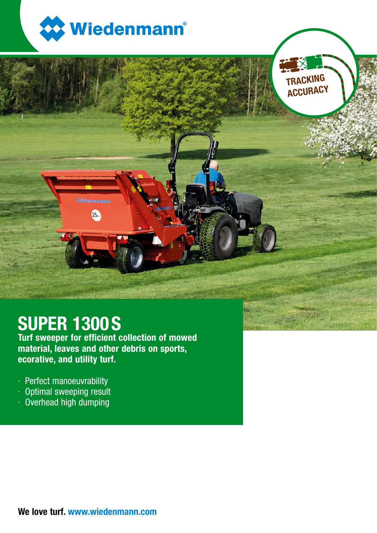

TRACKING **ACCURACY** 



Turf sweeper for efficient collection of mowed material, leaves and other debris on sports, ecorative, and utility turf.

25.

- · Perfect manoeuvrability
- · Optimal sweeping result
- · Overhead high dumping

We love turf. www.wiedenmann.com